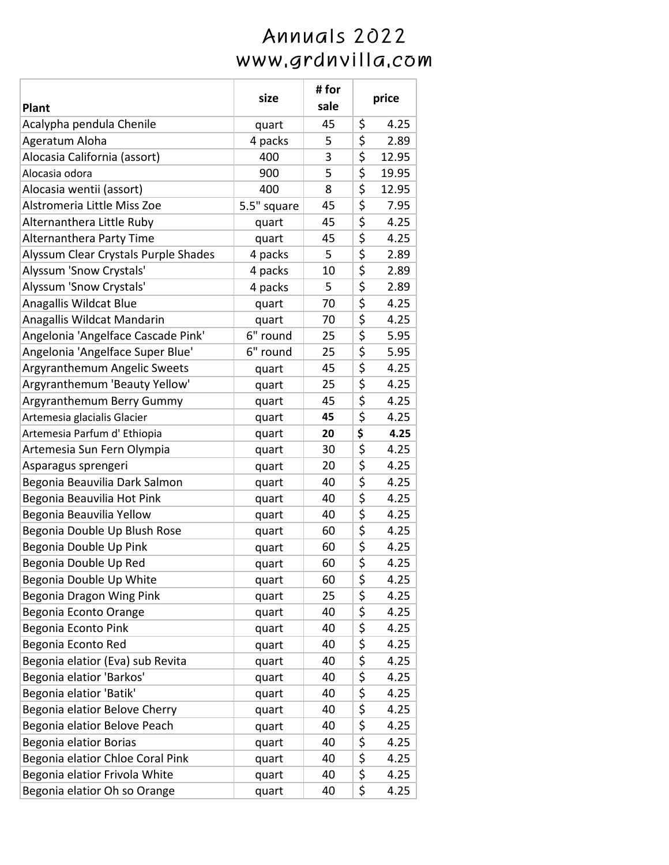|                                      | size        | #for | price       |
|--------------------------------------|-------------|------|-------------|
| Plant                                |             | sale |             |
| Acalypha pendula Chenile             | quart       | 45   | \$<br>4.25  |
| Ageratum Aloha                       | 4 packs     | 5    | \$<br>2.89  |
| Alocasia California (assort)         | 400         | 3    | \$<br>12.95 |
| Alocasia odora                       | 900         | 5    | \$<br>19.95 |
| Alocasia wentii (assort)             | 400         | 8    | \$<br>12.95 |
| Alstromeria Little Miss Zoe          | 5.5" square | 45   | \$<br>7.95  |
| Alternanthera Little Ruby            | quart       | 45   | \$<br>4.25  |
| Alternanthera Party Time             | quart       | 45   | \$<br>4.25  |
| Alyssum Clear Crystals Purple Shades | 4 packs     | 5    | \$<br>2.89  |
| Alyssum 'Snow Crystals'              | 4 packs     | 10   | \$<br>2.89  |
| Alyssum 'Snow Crystals'              | 4 packs     | 5    | \$<br>2.89  |
| Anagallis Wildcat Blue               | quart       | 70   | \$<br>4.25  |
| Anagallis Wildcat Mandarin           | quart       | 70   | \$<br>4.25  |
| Angelonia 'Angelface Cascade Pink'   | 6" round    | 25   | \$<br>5.95  |
| Angelonia 'Angelface Super Blue'     | 6" round    | 25   | \$<br>5.95  |
| Argyranthemum Angelic Sweets         | quart       | 45   | \$<br>4.25  |
| Argyranthemum 'Beauty Yellow'        | quart       | 25   | \$<br>4.25  |
| Argyranthemum Berry Gummy            | quart       | 45   | \$<br>4.25  |
| Artemesia glacialis Glacier          | quart       | 45   | \$<br>4.25  |
| Artemesia Parfum d' Ethiopia         | quart       | 20   | \$<br>4.25  |
| Artemesia Sun Fern Olympia           | quart       | 30   | \$<br>4.25  |
| Asparagus sprengeri                  | quart       | 20   | \$<br>4.25  |
| Begonia Beauvilia Dark Salmon        | quart       | 40   | \$<br>4.25  |
| Begonia Beauvilia Hot Pink           | quart       | 40   | \$<br>4.25  |
| Begonia Beauvilia Yellow             | quart       | 40   | \$<br>4.25  |
| Begonia Double Up Blush Rose         | quart       | 60   | \$<br>4.25  |
| Begonia Double Up Pink               | quart       | 60   | \$<br>4.25  |
| Begonia Double Up Red                | quart       | 60   | \$<br>4.25  |
| Begonia Double Up White              | quart       | 60   | \$<br>4.25  |
| Begonia Dragon Wing Pink             | quart       | 25   | \$<br>4.25  |
| Begonia Econto Orange                | quart       | 40   | \$<br>4.25  |
| Begonia Econto Pink                  | quart       | 40   | \$<br>4.25  |
| Begonia Econto Red                   | quart       | 40   | \$<br>4.25  |
| Begonia elatior (Eva) sub Revita     | quart       | 40   | \$<br>4.25  |
| Begonia elatior 'Barkos'             | quart       | 40   | \$<br>4.25  |
| Begonia elatior 'Batik'              | quart       | 40   | \$<br>4.25  |
| Begonia elatior Belove Cherry        | quart       | 40   | \$<br>4.25  |
| Begonia elatior Belove Peach         | quart       | 40   | \$<br>4.25  |
| Begonia elatior Borias               | quart       | 40   | \$<br>4.25  |
| Begonia elatior Chloe Coral Pink     | quart       | 40   | \$<br>4.25  |
| Begonia elatior Frivola White        | quart       | 40   | \$<br>4.25  |
| Begonia elatior Oh so Orange         | quart       | 40   | \$<br>4.25  |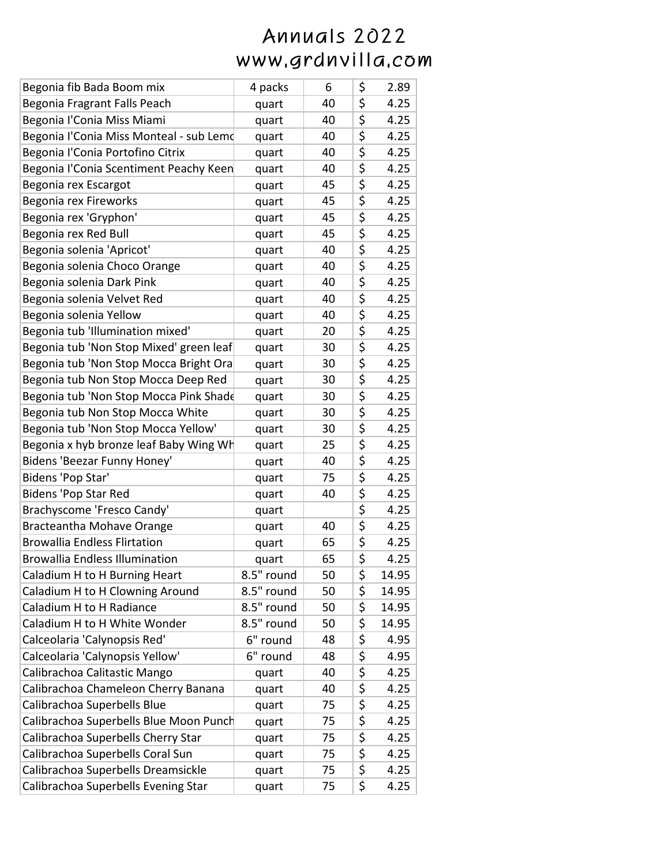| Begonia fib Bada Boom mix               | 4 packs    | 6  | \$<br>2.89  |
|-----------------------------------------|------------|----|-------------|
| Begonia Fragrant Falls Peach            | quart      | 40 | \$<br>4.25  |
| Begonia l'Conia Miss Miami              | quart      | 40 | \$<br>4.25  |
| Begonia l'Conia Miss Monteal - sub Lemo | quart      | 40 | \$<br>4.25  |
| Begonia l'Conia Portofino Citrix        | quart      | 40 | \$<br>4.25  |
| Begonia l'Conia Scentiment Peachy Keen  | quart      | 40 | \$<br>4.25  |
| Begonia rex Escargot                    | quart      | 45 | \$<br>4.25  |
| Begonia rex Fireworks                   | quart      | 45 | \$<br>4.25  |
| Begonia rex 'Gryphon'                   | quart      | 45 | \$<br>4.25  |
| Begonia rex Red Bull                    | quart      | 45 | \$<br>4.25  |
| Begonia solenia 'Apricot'               | quart      | 40 | \$<br>4.25  |
| Begonia solenia Choco Orange            | quart      | 40 | \$<br>4.25  |
| Begonia solenia Dark Pink               | quart      | 40 | \$<br>4.25  |
| Begonia solenia Velvet Red              | quart      | 40 | \$<br>4.25  |
| Begonia solenia Yellow                  | quart      | 40 | \$<br>4.25  |
| Begonia tub 'Illumination mixed'        | quart      | 20 | \$<br>4.25  |
| Begonia tub 'Non Stop Mixed' green leaf | quart      | 30 | \$<br>4.25  |
| Begonia tub 'Non Stop Mocca Bright Ora  | quart      | 30 | \$<br>4.25  |
| Begonia tub Non Stop Mocca Deep Red     | quart      | 30 | \$<br>4.25  |
| Begonia tub 'Non Stop Mocca Pink Shade  | quart      | 30 | \$<br>4.25  |
| Begonia tub Non Stop Mocca White        | quart      | 30 | \$<br>4.25  |
| Begonia tub 'Non Stop Mocca Yellow'     | quart      | 30 | \$<br>4.25  |
| Begonia x hyb bronze leaf Baby Wing Wh  | quart      | 25 | \$<br>4.25  |
| Bidens 'Beezar Funny Honey'             | quart      | 40 | \$<br>4.25  |
| Bidens 'Pop Star'                       | quart      | 75 | \$<br>4.25  |
| <b>Bidens 'Pop Star Red</b>             | quart      | 40 | \$<br>4.25  |
| Brachyscome 'Fresco Candy'              | quart      |    | \$<br>4.25  |
| Bracteantha Mohave Orange               | quart      | 40 | \$<br>4.25  |
| <b>Browallia Endless Flirtation</b>     | quart      | 65 | \$<br>4.25  |
| <b>Browallia Endless Illumination</b>   | quart      | 65 | \$<br>4.25  |
| Caladium H to H Burning Heart           | 8.5" round | 50 | \$<br>14.95 |
| Caladium H to H Clowning Around         | 8.5" round | 50 | \$<br>14.95 |
| Caladium H to H Radiance                | 8.5" round | 50 | \$<br>14.95 |
| Caladium H to H White Wonder            | 8.5" round | 50 | \$<br>14.95 |
| Calceolaria 'Calynopsis Red'            | 6" round   | 48 | \$<br>4.95  |
| Calceolaria 'Calynopsis Yellow'         | 6" round   | 48 | \$<br>4.95  |
| Calibrachoa Calitastic Mango            | quart      | 40 | \$<br>4.25  |
| Calibrachoa Chameleon Cherry Banana     | quart      | 40 | \$<br>4.25  |
| Calibrachoa Superbells Blue             | quart      | 75 | \$<br>4.25  |
| Calibrachoa Superbells Blue Moon Punch  | quart      | 75 | \$<br>4.25  |
| Calibrachoa Superbells Cherry Star      | quart      | 75 | \$<br>4.25  |
| Calibrachoa Superbells Coral Sun        | quart      | 75 | \$<br>4.25  |
| Calibrachoa Superbells Dreamsickle      | quart      | 75 | \$<br>4.25  |
| Calibrachoa Superbells Evening Star     | quart      | 75 | \$<br>4.25  |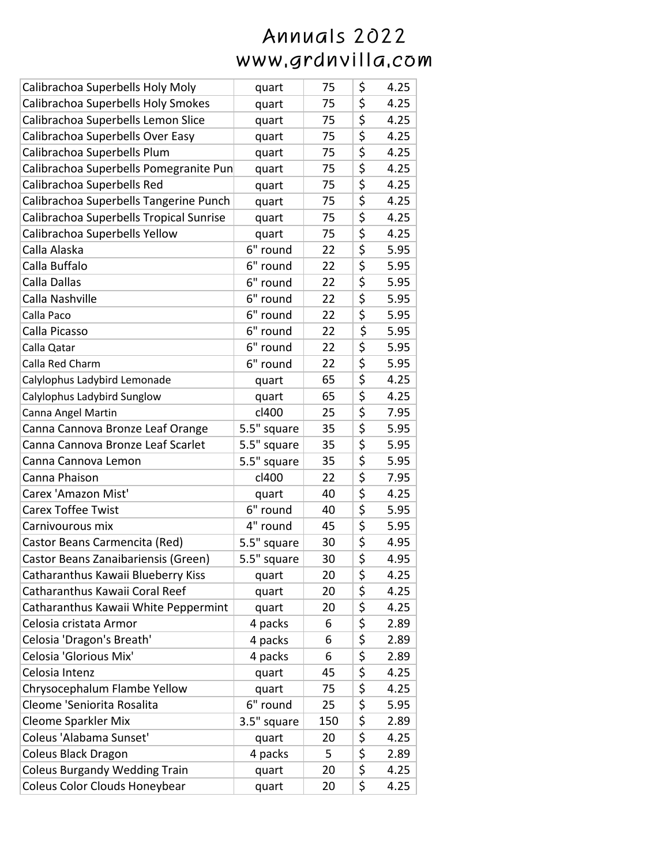| Calibrachoa Superbells Holy Moly        | quart       | 75  | \$<br>4.25 |
|-----------------------------------------|-------------|-----|------------|
| Calibrachoa Superbells Holy Smokes      | quart       | 75  | \$<br>4.25 |
| Calibrachoa Superbells Lemon Slice      | quart       | 75  | \$<br>4.25 |
| Calibrachoa Superbells Over Easy        | quart       | 75  | \$<br>4.25 |
| Calibrachoa Superbells Plum             | quart       | 75  | \$<br>4.25 |
| Calibrachoa Superbells Pomegranite Pun  | quart       | 75  | \$<br>4.25 |
| Calibrachoa Superbells Red              | quart       | 75  | \$<br>4.25 |
| Calibrachoa Superbells Tangerine Punch  | quart       | 75  | \$<br>4.25 |
| Calibrachoa Superbells Tropical Sunrise | quart       | 75  | \$<br>4.25 |
| Calibrachoa Superbells Yellow           | quart       | 75  | \$<br>4.25 |
| Calla Alaska                            | 6" round    | 22  | \$<br>5.95 |
| Calla Buffalo                           | 6" round    | 22  | \$<br>5.95 |
| Calla Dallas                            | 6" round    | 22  | \$<br>5.95 |
| Calla Nashville                         | 6" round    | 22  | \$<br>5.95 |
| Calla Paco                              | 6" round    | 22  | \$<br>5.95 |
| Calla Picasso                           | 6" round    | 22  | \$<br>5.95 |
| Calla Qatar                             | 6" round    | 22  | \$<br>5.95 |
| Calla Red Charm                         | 6" round    | 22  | \$<br>5.95 |
| Calylophus Ladybird Lemonade            | quart       | 65  | \$<br>4.25 |
| Calylophus Ladybird Sunglow             | quart       | 65  | \$<br>4.25 |
| Canna Angel Martin                      | cl400       | 25  | \$<br>7.95 |
| Canna Cannova Bronze Leaf Orange        | 5.5" square | 35  | \$<br>5.95 |
| Canna Cannova Bronze Leaf Scarlet       | 5.5" square | 35  | \$<br>5.95 |
| Canna Cannova Lemon                     | 5.5" square | 35  | \$<br>5.95 |
| Canna Phaison                           | cl400       | 22  | \$<br>7.95 |
| Carex 'Amazon Mist'                     | quart       | 40  | \$<br>4.25 |
| <b>Carex Toffee Twist</b>               | 6" round    | 40  | \$<br>5.95 |
| Carnivourous mix                        | 4" round    | 45  | \$<br>5.95 |
| Castor Beans Carmencita (Red)           | 5.5" square | 30  | \$<br>4.95 |
| Castor Beans Zanaibariensis (Green)     | 5.5" square | 30  | \$<br>4.95 |
| Catharanthus Kawaii Blueberry Kiss      | quart       | 20  | \$<br>4.25 |
| Catharanthus Kawaii Coral Reef          | quart       | 20  | \$<br>4.25 |
| Catharanthus Kawaii White Peppermint    | quart       | 20  | \$<br>4.25 |
| Celosia cristata Armor                  | 4 packs     | 6   | \$<br>2.89 |
| Celosia 'Dragon's Breath'               | 4 packs     | 6   | \$<br>2.89 |
| Celosia 'Glorious Mix'                  | 4 packs     | 6   | \$<br>2.89 |
| Celosia Intenz                          | quart       | 45  | \$<br>4.25 |
| Chrysocephalum Flambe Yellow            | quart       | 75  | \$<br>4.25 |
| Cleome 'Seniorita Rosalita              | 6" round    | 25  | \$<br>5.95 |
| <b>Cleome Sparkler Mix</b>              | 3.5" square | 150 | \$<br>2.89 |
| Coleus 'Alabama Sunset'                 | quart       | 20  | \$<br>4.25 |
| Coleus Black Dragon                     | 4 packs     | 5   | \$<br>2.89 |
| <b>Coleus Burgandy Wedding Train</b>    | quart       | 20  | \$<br>4.25 |
| Coleus Color Clouds Honeybear           | quart       | 20  | \$<br>4.25 |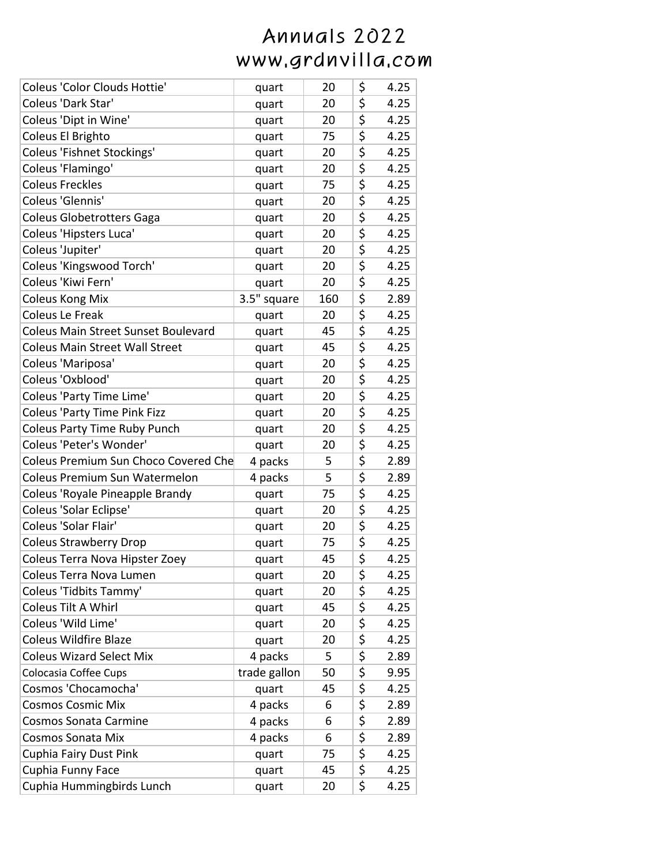| Coleus 'Color Clouds Hottie'               | quart        | 20  | \$                                  | 4.25 |
|--------------------------------------------|--------------|-----|-------------------------------------|------|
| Coleus 'Dark Star'                         | quart        | 20  | \$                                  | 4.25 |
| Coleus 'Dipt in Wine'                      | quart        | 20  | $\overline{\boldsymbol{\zeta}}$     | 4.25 |
| Coleus El Brighto                          | quart        | 75  | \$                                  | 4.25 |
| <b>Coleus 'Fishnet Stockings'</b>          | quart        | 20  | $\overline{\boldsymbol{\zeta}}$     | 4.25 |
| Coleus 'Flamingo'                          | quart        | 20  | \$                                  | 4.25 |
| <b>Coleus Freckles</b>                     | quart        | 75  | \$                                  | 4.25 |
| Coleus 'Glennis'                           | quart        | 20  | \$                                  | 4.25 |
| <b>Coleus Globetrotters Gaga</b>           | quart        | 20  | \$                                  | 4.25 |
| Coleus 'Hipsters Luca'                     | quart        | 20  | $\overline{\boldsymbol{\zeta}}$     | 4.25 |
| Coleus 'Jupiter'                           | quart        | 20  | \$                                  | 4.25 |
| Coleus 'Kingswood Torch'                   | quart        | 20  | \$                                  | 4.25 |
| Coleus 'Kiwi Fern'                         | quart        | 20  | \$                                  | 4.25 |
| <b>Coleus Kong Mix</b>                     | 3.5" square  | 160 | \$                                  | 2.89 |
| <b>Coleus Le Freak</b>                     | quart        | 20  | \$                                  | 4.25 |
| <b>Coleus Main Street Sunset Boulevard</b> | quart        | 45  | $\overline{\boldsymbol{\zeta}}$     | 4.25 |
| <b>Coleus Main Street Wall Street</b>      | quart        | 45  | $\overline{\boldsymbol{\zeta}}$     | 4.25 |
| Coleus 'Mariposa'                          | quart        | 20  | $\overline{\boldsymbol{\zeta}}$     | 4.25 |
| Coleus 'Oxblood'                           | quart        | 20  | $\overline{\boldsymbol{\zeta}}$     | 4.25 |
| Coleus 'Party Time Lime'                   | quart        | 20  | $\overline{\boldsymbol{\zeta}}$     | 4.25 |
| <b>Coleus 'Party Time Pink Fizz</b>        | quart        | 20  | \$                                  | 4.25 |
| <b>Coleus Party Time Ruby Punch</b>        | quart        | 20  | \$                                  | 4.25 |
| Coleus 'Peter's Wonder'                    | quart        | 20  | \$                                  | 4.25 |
| Coleus Premium Sun Choco Covered Che       | 4 packs      | 5   | \$                                  | 2.89 |
| <b>Coleus Premium Sun Watermelon</b>       | 4 packs      | 5   | \$                                  | 2.89 |
| Coleus 'Royale Pineapple Brandy            | quart        | 75  | \$                                  | 4.25 |
| Coleus 'Solar Eclipse'                     | quart        | 20  | \$                                  | 4.25 |
| Coleus 'Solar Flair'                       | quart        | 20  | \$                                  | 4.25 |
| <b>Coleus Strawberry Drop</b>              | quart        | 75  | $\overline{\boldsymbol{\varsigma}}$ | 4.25 |
| Coleus Terra Nova Hipster Zoey             | quart        | 45  | \$                                  | 4.25 |
| Coleus Terra Nova Lumen                    | quart        | 20  | \$                                  | 4.25 |
| Coleus 'Tidbits Tammy'                     | quart        | 20  | \$                                  | 4.25 |
| Coleus Tilt A Whirl                        | quart        | 45  | \$                                  | 4.25 |
| Coleus 'Wild Lime'                         | quart        | 20  | \$                                  | 4.25 |
| <b>Coleus Wildfire Blaze</b>               | quart        | 20  | \$                                  | 4.25 |
| <b>Coleus Wizard Select Mix</b>            | 4 packs      | 5   | $\overline{\boldsymbol{\zeta}}$     | 2.89 |
| Colocasia Coffee Cups                      | trade gallon | 50  | \$                                  | 9.95 |
| Cosmos 'Chocamocha'                        | quart        | 45  | \$                                  | 4.25 |
| <b>Cosmos Cosmic Mix</b>                   | 4 packs      | 6   | \$                                  | 2.89 |
| <b>Cosmos Sonata Carmine</b>               | 4 packs      | 6   | \$                                  | 2.89 |
| <b>Cosmos Sonata Mix</b>                   | 4 packs      | 6   | \$                                  | 2.89 |
| Cuphia Fairy Dust Pink                     | quart        | 75  | \$                                  | 4.25 |
| Cuphia Funny Face                          | quart        | 45  | \$                                  | 4.25 |
| Cuphia Hummingbirds Lunch                  | quart        | 20  | $\overline{\boldsymbol{\zeta}}$     | 4.25 |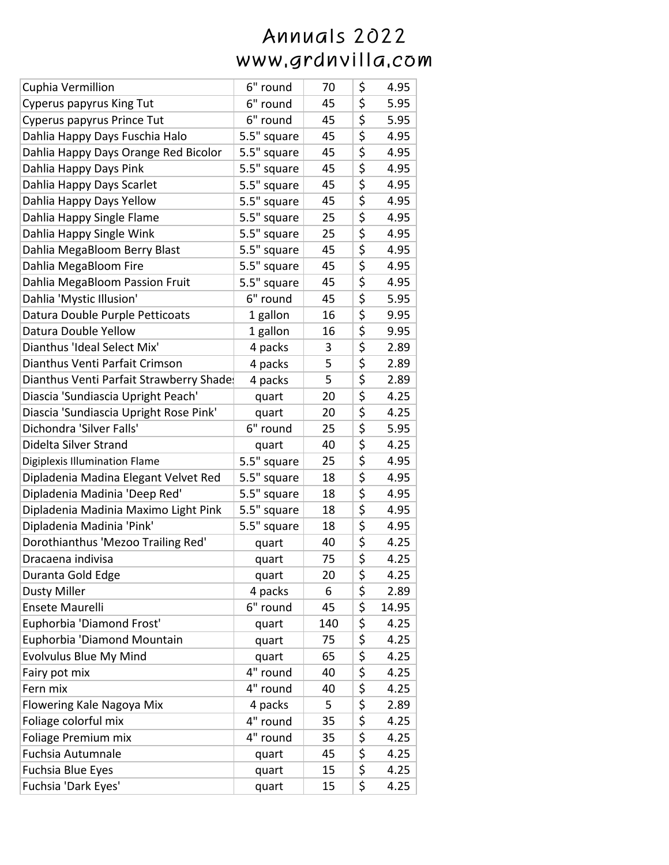| Cuphia Vermillion                       | 6" round    | 70  | \$                              | 4.95  |
|-----------------------------------------|-------------|-----|---------------------------------|-------|
| <b>Cyperus papyrus King Tut</b>         | 6" round    | 45  | \$                              | 5.95  |
| Cyperus papyrus Prince Tut              | 6" round    | 45  | \$                              | 5.95  |
| Dahlia Happy Days Fuschia Halo          | 5.5" square | 45  | \$                              | 4.95  |
| Dahlia Happy Days Orange Red Bicolor    | 5.5" square | 45  | \$                              | 4.95  |
| Dahlia Happy Days Pink                  | 5.5" square | 45  | \$                              | 4.95  |
| Dahlia Happy Days Scarlet               | 5.5" square | 45  | \$                              | 4.95  |
| Dahlia Happy Days Yellow                | 5.5" square | 45  | \$                              | 4.95  |
| Dahlia Happy Single Flame               | 5.5" square | 25  | \$                              | 4.95  |
| Dahlia Happy Single Wink                | 5.5" square | 25  | \$                              | 4.95  |
| Dahlia MegaBloom Berry Blast            | 5.5" square | 45  | \$                              | 4.95  |
| Dahlia MegaBloom Fire                   | 5.5" square | 45  | \$                              | 4.95  |
| Dahlia MegaBloom Passion Fruit          | 5.5" square | 45  | $\overline{\boldsymbol{\zeta}}$ | 4.95  |
| Dahlia 'Mystic Illusion'                | 6" round    | 45  | \$                              | 5.95  |
| Datura Double Purple Petticoats         | 1 gallon    | 16  | \$                              | 9.95  |
| Datura Double Yellow                    | 1 gallon    | 16  | \$                              | 9.95  |
| Dianthus 'Ideal Select Mix'             | 4 packs     | 3   | $\overline{\boldsymbol{\zeta}}$ | 2.89  |
| Dianthus Venti Parfait Crimson          | 4 packs     | 5   | \$                              | 2.89  |
| Dianthus Venti Parfait Strawberry Shade | 4 packs     | 5   | $\overline{\boldsymbol{\zeta}}$ | 2.89  |
| Diascia 'Sundiascia Upright Peach'      | quart       | 20  | \$                              | 4.25  |
| Diascia 'Sundiascia Upright Rose Pink'  | quart       | 20  | \$                              | 4.25  |
| Dichondra 'Silver Falls'                | 6" round    | 25  | \$                              | 5.95  |
| Didelta Silver Strand                   | quart       | 40  | $\overline{\boldsymbol{\zeta}}$ | 4.25  |
| <b>Digiplexis Illumination Flame</b>    | 5.5" square | 25  | \$                              | 4.95  |
| Dipladenia Madina Elegant Velvet Red    | 5.5" square | 18  | \$                              | 4.95  |
| Dipladenia Madinia 'Deep Red'           | 5.5" square | 18  | \$                              | 4.95  |
| Dipladenia Madinia Maximo Light Pink    | 5.5" square | 18  | \$                              | 4.95  |
| Dipladenia Madinia 'Pink'               | 5.5" square | 18  | \$                              | 4.95  |
| Dorothianthus 'Mezoo Trailing Red'      | quart       | 40  | $\overline{\boldsymbol{\zeta}}$ | 4.25  |
| Dracaena indivisa                       | quart       | 75  | \$                              | 4.25  |
| Duranta Gold Edge                       | quart       | 20  | \$                              | 4.25  |
| <b>Dusty Miller</b>                     | 4 packs     | 6   | \$                              | 2.89  |
| Ensete Maurelli                         | 6" round    | 45  | \$                              | 14.95 |
| Euphorbia 'Diamond Frost'               | quart       | 140 | \$                              | 4.25  |
| Euphorbia 'Diamond Mountain             | quart       | 75  | \$                              | 4.25  |
| <b>Evolvulus Blue My Mind</b>           | quart       | 65  | \$                              | 4.25  |
| Fairy pot mix                           | 4" round    | 40  | \$                              | 4.25  |
| Fern mix                                | 4" round    | 40  | \$                              | 4.25  |
| Flowering Kale Nagoya Mix               | 4 packs     | 5   | \$                              | 2.89  |
| Foliage colorful mix                    | 4" round    | 35  | \$                              | 4.25  |
| Foliage Premium mix                     | 4" round    | 35  | \$                              | 4.25  |
| <b>Fuchsia Autumnale</b>                | quart       | 45  | \$                              | 4.25  |
| Fuchsia Blue Eyes                       | quart       | 15  | \$                              | 4.25  |
| Fuchsia 'Dark Eyes'                     | quart       | 15  | \$                              | 4.25  |
|                                         |             |     |                                 |       |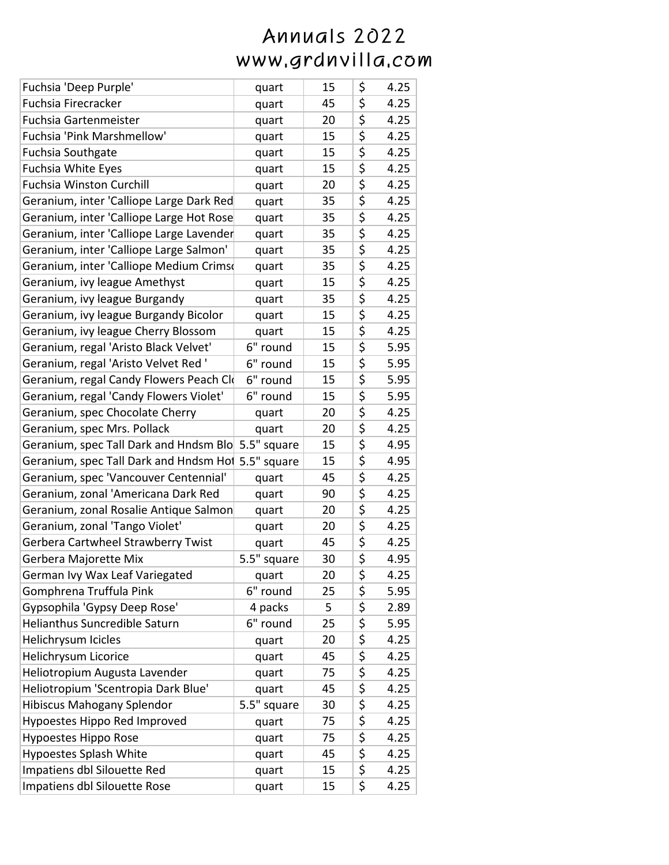| Fuchsia 'Deep Purple'                              | quart       | 15 | \$<br>4.25 |
|----------------------------------------------------|-------------|----|------------|
| Fuchsia Firecracker                                | quart       | 45 | \$<br>4.25 |
| Fuchsia Gartenmeister                              | quart       | 20 | \$<br>4.25 |
| Fuchsia 'Pink Marshmellow'                         | quart       | 15 | \$<br>4.25 |
| <b>Fuchsia Southgate</b>                           | quart       | 15 | \$<br>4.25 |
| <b>Fuchsia White Eyes</b>                          | quart       | 15 | \$<br>4.25 |
| <b>Fuchsia Winston Curchill</b>                    | quart       | 20 | \$<br>4.25 |
| Geranium, inter 'Calliope Large Dark Red           | quart       | 35 | \$<br>4.25 |
| Geranium, inter 'Calliope Large Hot Rose           | quart       | 35 | \$<br>4.25 |
| Geranium, inter 'Calliope Large Lavender           | quart       | 35 | \$<br>4.25 |
| Geranium, inter 'Calliope Large Salmon'            | quart       | 35 | \$<br>4.25 |
| Geranium, inter 'Calliope Medium Crims             | quart       | 35 | \$<br>4.25 |
| Geranium, ivy league Amethyst                      | quart       | 15 | \$<br>4.25 |
| Geranium, ivy league Burgandy                      | quart       | 35 | \$<br>4.25 |
| Geranium, ivy league Burgandy Bicolor              | quart       | 15 | \$<br>4.25 |
| Geranium, ivy league Cherry Blossom                | quart       | 15 | \$<br>4.25 |
| Geranium, regal 'Aristo Black Velvet'              | 6" round    | 15 | \$<br>5.95 |
| Geranium, regal 'Aristo Velvet Red '               | 6" round    | 15 | \$<br>5.95 |
| Geranium, regal Candy Flowers Peach Clo            | 6" round    | 15 | \$<br>5.95 |
| Geranium, regal 'Candy Flowers Violet'             | 6" round    | 15 | \$<br>5.95 |
| Geranium, spec Chocolate Cherry                    | quart       | 20 | \$<br>4.25 |
| Geranium, spec Mrs. Pollack                        | quart       | 20 | \$<br>4.25 |
| Geranium, spec Tall Dark and Hndsm Blo 5.5" square |             | 15 | \$<br>4.95 |
| Geranium, spec Tall Dark and Hndsm Hol 5.5" square |             | 15 | \$<br>4.95 |
| Geranium, spec 'Vancouver Centennial'              | quart       | 45 | \$<br>4.25 |
| Geranium, zonal 'Americana Dark Red                | quart       | 90 | \$<br>4.25 |
| Geranium, zonal Rosalie Antique Salmon             | quart       | 20 | \$<br>4.25 |
| Geranium, zonal 'Tango Violet'                     | quart       | 20 | \$<br>4.25 |
| Gerbera Cartwheel Strawberry Twist                 | quart       | 45 | \$<br>4.25 |
| Gerbera Majorette Mix                              | 5.5" square | 30 | \$<br>4.95 |
| German Ivy Wax Leaf Variegated                     | quart       | 20 | \$<br>4.25 |
| Gomphrena Truffula Pink                            | 6" round    | 25 | \$<br>5.95 |
| Gypsophila 'Gypsy Deep Rose'                       | 4 packs     | 5  | \$<br>2.89 |
| <b>Helianthus Suncredible Saturn</b>               | 6" round    | 25 | \$<br>5.95 |
| Helichrysum Icicles                                | quart       | 20 | \$<br>4.25 |
| Helichrysum Licorice                               | quart       | 45 | \$<br>4.25 |
| Heliotropium Augusta Lavender                      | quart       | 75 | \$<br>4.25 |
| Heliotropium 'Scentropia Dark Blue'                | quart       | 45 | \$<br>4.25 |
| <b>Hibiscus Mahogany Splendor</b>                  | 5.5" square | 30 | \$<br>4.25 |
| Hypoestes Hippo Red Improved                       | quart       | 75 | \$<br>4.25 |
| Hypoestes Hippo Rose                               | quart       | 75 | \$<br>4.25 |
| <b>Hypoestes Splash White</b>                      | quart       | 45 | \$<br>4.25 |
| Impatiens dbl Silouette Red                        | quart       | 15 | \$<br>4.25 |
| Impatiens dbl Silouette Rose                       | quart       | 15 | \$<br>4.25 |
|                                                    |             |    |            |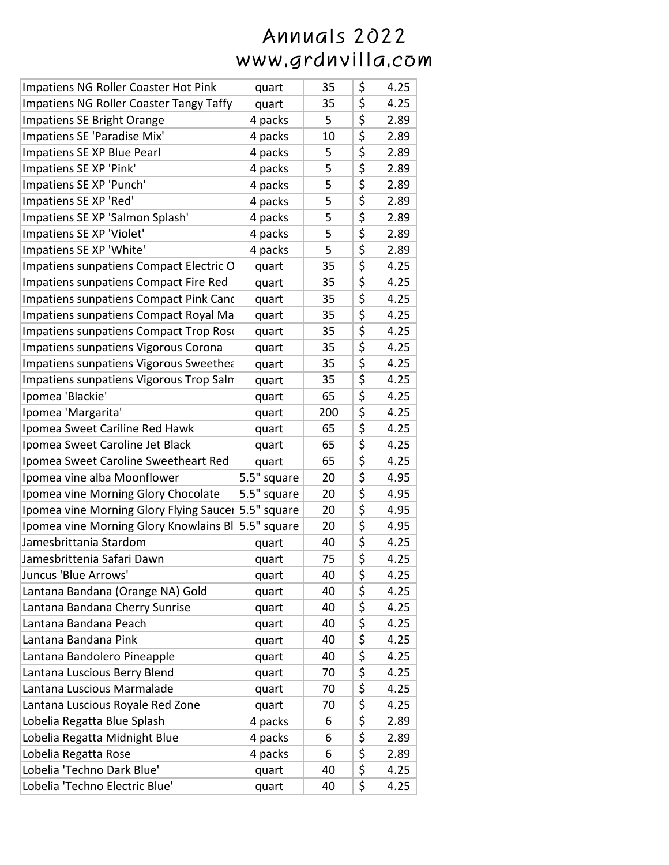| Impatiens NG Roller Coaster Hot Pink              | quart       | 35  | \$<br>4.25 |
|---------------------------------------------------|-------------|-----|------------|
| <b>Impatiens NG Roller Coaster Tangy Taffy</b>    | quart       | 35  | \$<br>4.25 |
| Impatiens SE Bright Orange                        | 4 packs     | 5   | \$<br>2.89 |
| Impatiens SE 'Paradise Mix'                       | 4 packs     | 10  | \$<br>2.89 |
| Impatiens SE XP Blue Pearl                        | 4 packs     | 5   | \$<br>2.89 |
| Impatiens SE XP 'Pink'                            | 4 packs     | 5   | \$<br>2.89 |
| Impatiens SE XP 'Punch'                           | 4 packs     | 5   | \$<br>2.89 |
| Impatiens SE XP 'Red'                             | 4 packs     | 5   | \$<br>2.89 |
| Impatiens SE XP 'Salmon Splash'                   | 4 packs     | 5   | \$<br>2.89 |
| Impatiens SE XP 'Violet'                          | 4 packs     | 5   | \$<br>2.89 |
| Impatiens SE XP 'White'                           | 4 packs     | 5   | \$<br>2.89 |
| Impatiens sunpatiens Compact Electric C           | quart       | 35  | \$<br>4.25 |
| Impatiens sunpatiens Compact Fire Red             | quart       | 35  | \$<br>4.25 |
| Impatiens sunpatiens Compact Pink Cand            | quart       | 35  | \$<br>4.25 |
| Impatiens sunpatiens Compact Royal Ma             | quart       | 35  | \$<br>4.25 |
| Impatiens sunpatiens Compact Trop Rose            | quart       | 35  | \$<br>4.25 |
| Impatiens sunpatiens Vigorous Corona              | quart       | 35  | \$<br>4.25 |
| Impatiens sunpatiens Vigorous Sweethea            | quart       | 35  | \$<br>4.25 |
| Impatiens sunpatiens Vigorous Trop Saln           | quart       | 35  | \$<br>4.25 |
| Ipomea 'Blackie'                                  | quart       | 65  | \$<br>4.25 |
| Ipomea 'Margarita'                                | quart       | 200 | \$<br>4.25 |
| Ipomea Sweet Cariline Red Hawk                    | quart       | 65  | \$<br>4.25 |
| Ipomea Sweet Caroline Jet Black                   | quart       | 65  | \$<br>4.25 |
| Ipomea Sweet Caroline Sweetheart Red              | quart       | 65  | \$<br>4.25 |
| Ipomea vine alba Moonflower                       | 5.5" square | 20  | \$<br>4.95 |
| Ipomea vine Morning Glory Chocolate               | 5.5" square | 20  | \$<br>4.95 |
| Ipomea vine Morning Glory Flying Sauce            | 5.5" square | 20  | \$<br>4.95 |
| Ipomea vine Morning Glory Knowlains B 5.5" square |             | 20  | \$<br>4.95 |
| Jamesbrittania Stardom                            | quart       | 40  | \$<br>4.25 |
| Jamesbrittenia Safari Dawn                        | quart       | 75  | \$<br>4.25 |
| Juncus 'Blue Arrows'                              | quart       | 40  | \$<br>4.25 |
| Lantana Bandana (Orange NA) Gold                  | quart       | 40  | \$<br>4.25 |
| Lantana Bandana Cherry Sunrise                    | quart       | 40  | \$<br>4.25 |
| Lantana Bandana Peach                             | quart       | 40  | \$<br>4.25 |
| Lantana Bandana Pink                              | quart       | 40  | \$<br>4.25 |
| Lantana Bandolero Pineapple                       | quart       | 40  | \$<br>4.25 |
| Lantana Luscious Berry Blend                      | quart       | 70  | \$<br>4.25 |
| Lantana Luscious Marmalade                        | quart       | 70  | \$<br>4.25 |
| Lantana Luscious Royale Red Zone                  | quart       | 70  | \$<br>4.25 |
| Lobelia Regatta Blue Splash                       | 4 packs     | 6   | \$<br>2.89 |
| Lobelia Regatta Midnight Blue                     | 4 packs     | 6   | \$<br>2.89 |
| Lobelia Regatta Rose                              | 4 packs     | 6   | \$<br>2.89 |
| Lobelia 'Techno Dark Blue'                        | quart       | 40  | \$<br>4.25 |
| Lobelia 'Techno Electric Blue'                    | quart       | 40  | \$<br>4.25 |
|                                                   |             |     |            |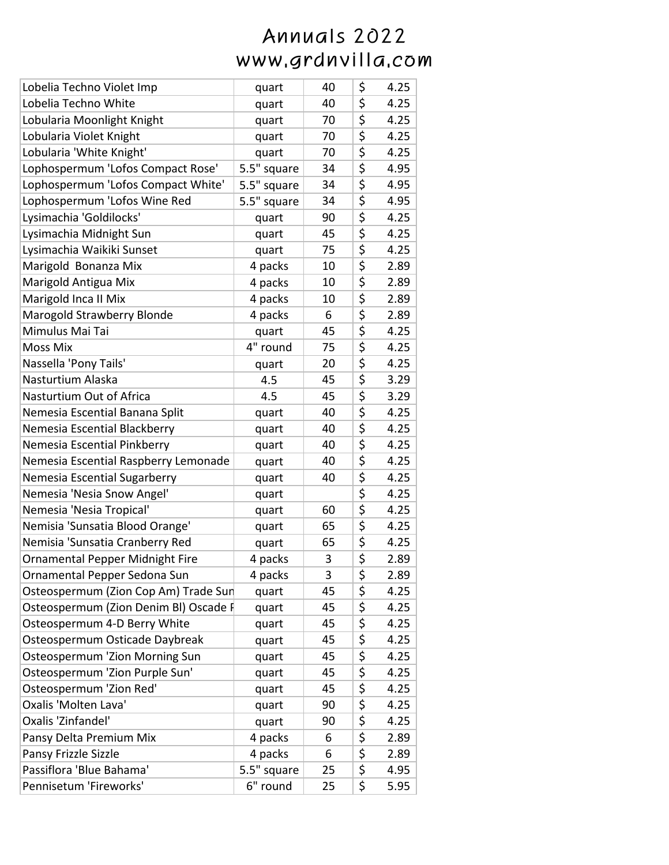| Lobelia Techno Violet Imp             | quart       | 40 | \$<br>4.25 |
|---------------------------------------|-------------|----|------------|
| Lobelia Techno White                  | quart       | 40 | \$<br>4.25 |
| Lobularia Moonlight Knight            | quart       | 70 | \$<br>4.25 |
| Lobularia Violet Knight               | quart       | 70 | \$<br>4.25 |
| Lobularia 'White Knight'              | quart       | 70 | \$<br>4.25 |
| Lophospermum 'Lofos Compact Rose'     | 5.5" square | 34 | \$<br>4.95 |
| Lophospermum 'Lofos Compact White'    | 5.5" square | 34 | \$<br>4.95 |
| Lophospermum 'Lofos Wine Red          | 5.5" square | 34 | \$<br>4.95 |
| Lysimachia 'Goldilocks'               | quart       | 90 | \$<br>4.25 |
| Lysimachia Midnight Sun               | quart       | 45 | \$<br>4.25 |
| Lysimachia Waikiki Sunset             | quart       | 75 | \$<br>4.25 |
| Marigold Bonanza Mix                  | 4 packs     | 10 | \$<br>2.89 |
| Marigold Antigua Mix                  | 4 packs     | 10 | \$<br>2.89 |
| Marigold Inca II Mix                  | 4 packs     | 10 | \$<br>2.89 |
| Marogold Strawberry Blonde            | 4 packs     | 6  | \$<br>2.89 |
| Mimulus Mai Tai                       | quart       | 45 | \$<br>4.25 |
| <b>Moss Mix</b>                       | 4" round    | 75 | \$<br>4.25 |
| Nassella 'Pony Tails'                 | quart       | 20 | \$<br>4.25 |
| Nasturtium Alaska                     | 4.5         | 45 | \$<br>3.29 |
| Nasturtium Out of Africa              | 4.5         | 45 | \$<br>3.29 |
| Nemesia Escential Banana Split        | quart       | 40 | \$<br>4.25 |
| Nemesia Escential Blackberry          | quart       | 40 | \$<br>4.25 |
| Nemesia Escential Pinkberry           | quart       | 40 | \$<br>4.25 |
| Nemesia Escential Raspberry Lemonade  | quart       | 40 | \$<br>4.25 |
| Nemesia Escential Sugarberry          | quart       | 40 | \$<br>4.25 |
| Nemesia 'Nesia Snow Angel'            | quart       |    | \$<br>4.25 |
| Nemesia 'Nesia Tropical'              | quart       | 60 | \$<br>4.25 |
| Nemisia 'Sunsatia Blood Orange'       | quart       | 65 | \$<br>4.25 |
| Nemisia 'Sunsatia Cranberry Red       | quart       | 65 | \$<br>4.25 |
| Ornamental Pepper Midnight Fire       | 4 packs     | 3  | \$<br>2.89 |
| Ornamental Pepper Sedona Sun          | 4 packs     | 3  | \$<br>2.89 |
| Osteospermum (Zion Cop Am) Trade Sur  | quart       | 45 | \$<br>4.25 |
| Osteospermum (Zion Denim BI) Oscade F | quart       | 45 | \$<br>4.25 |
| Osteospermum 4-D Berry White          | quart       | 45 | \$<br>4.25 |
| Osteospermum Osticade Daybreak        | quart       | 45 | \$<br>4.25 |
| <b>Osteospermum 'Zion Morning Sun</b> | quart       | 45 | \$<br>4.25 |
| Osteospermum 'Zion Purple Sun'        | quart       | 45 | \$<br>4.25 |
| Osteospermum 'Zion Red'               | quart       | 45 | \$<br>4.25 |
| Oxalis 'Molten Lava'                  | quart       | 90 | \$<br>4.25 |
| Oxalis 'Zinfandel'                    | quart       | 90 | \$<br>4.25 |
| Pansy Delta Premium Mix               | 4 packs     | 6  | \$<br>2.89 |
| Pansy Frizzle Sizzle                  | 4 packs     | 6  | \$<br>2.89 |
| Passiflora 'Blue Bahama'              | 5.5" square | 25 | \$<br>4.95 |
| Pennisetum 'Fireworks'                | 6" round    | 25 | \$<br>5.95 |
|                                       |             |    |            |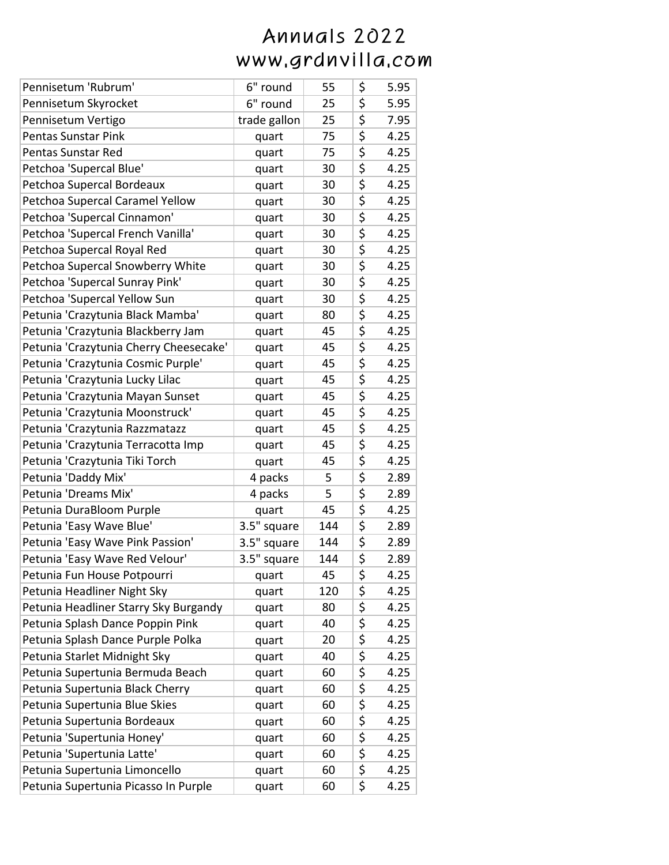| Pennisetum 'Rubrum'                    | 6" round     | 55  | \$<br>5.95 |
|----------------------------------------|--------------|-----|------------|
| Pennisetum Skyrocket                   | 6" round     | 25  | \$<br>5.95 |
| Pennisetum Vertigo                     | trade gallon | 25  | \$<br>7.95 |
| <b>Pentas Sunstar Pink</b>             | quart        | 75  | \$<br>4.25 |
| Pentas Sunstar Red                     | quart        | 75  | \$<br>4.25 |
| Petchoa 'Supercal Blue'                | quart        | 30  | \$<br>4.25 |
| Petchoa Supercal Bordeaux              | quart        | 30  | \$<br>4.25 |
| Petchoa Supercal Caramel Yellow        | quart        | 30  | \$<br>4.25 |
| Petchoa 'Supercal Cinnamon'            | quart        | 30  | \$<br>4.25 |
| Petchoa 'Supercal French Vanilla'      | quart        | 30  | \$<br>4.25 |
| Petchoa Supercal Royal Red             | quart        | 30  | \$<br>4.25 |
| Petchoa Supercal Snowberry White       | quart        | 30  | \$<br>4.25 |
| Petchoa 'Supercal Sunray Pink'         | quart        | 30  | \$<br>4.25 |
| Petchoa 'Supercal Yellow Sun           | quart        | 30  | \$<br>4.25 |
| Petunia 'Crazytunia Black Mamba'       | quart        | 80  | \$<br>4.25 |
| Petunia 'Crazytunia Blackberry Jam     | quart        | 45  | \$<br>4.25 |
| Petunia 'Crazytunia Cherry Cheesecake' | quart        | 45  | \$<br>4.25 |
| Petunia 'Crazytunia Cosmic Purple'     | quart        | 45  | \$<br>4.25 |
| Petunia 'Crazytunia Lucky Lilac        | quart        | 45  | \$<br>4.25 |
| Petunia 'Crazytunia Mayan Sunset       | quart        | 45  | \$<br>4.25 |
| Petunia 'Crazytunia Moonstruck'        | quart        | 45  | \$<br>4.25 |
| Petunia 'Crazytunia Razzmatazz         | quart        | 45  | \$<br>4.25 |
| Petunia 'Crazytunia Terracotta Imp     | quart        | 45  | \$<br>4.25 |
| Petunia 'Crazytunia Tiki Torch         | quart        | 45  | \$<br>4.25 |
| Petunia 'Daddy Mix'                    | 4 packs      | 5   | \$<br>2.89 |
| Petunia 'Dreams Mix'                   | 4 packs      | 5   | \$<br>2.89 |
| Petunia DuraBloom Purple               | quart        | 45  | \$<br>4.25 |
| Petunia 'Easy Wave Blue'               | 3.5" square  | 144 | \$<br>2.89 |
| Petunia 'Easy Wave Pink Passion'       | 3.5" square  | 144 | \$<br>2.89 |
| Petunia 'Easy Wave Red Velour'         | 3.5" square  | 144 | \$<br>2.89 |
| Petunia Fun House Potpourri            | quart        | 45  | \$<br>4.25 |
| Petunia Headliner Night Sky            | quart        | 120 | \$<br>4.25 |
| Petunia Headliner Starry Sky Burgandy  | quart        | 80  | \$<br>4.25 |
| Petunia Splash Dance Poppin Pink       | quart        | 40  | \$<br>4.25 |
| Petunia Splash Dance Purple Polka      | quart        | 20  | \$<br>4.25 |
| Petunia Starlet Midnight Sky           | quart        | 40  | \$<br>4.25 |
| Petunia Supertunia Bermuda Beach       | quart        | 60  | \$<br>4.25 |
| Petunia Supertunia Black Cherry        | quart        | 60  | \$<br>4.25 |
| Petunia Supertunia Blue Skies          | quart        | 60  | \$<br>4.25 |
| Petunia Supertunia Bordeaux            | quart        | 60  | \$<br>4.25 |
| Petunia 'Supertunia Honey'             | quart        | 60  | \$<br>4.25 |
| Petunia 'Supertunia Latte'             | quart        | 60  | \$<br>4.25 |
| Petunia Supertunia Limoncello          | quart        | 60  | \$<br>4.25 |
| Petunia Supertunia Picasso In Purple   | quart        | 60  | \$<br>4.25 |
|                                        |              |     |            |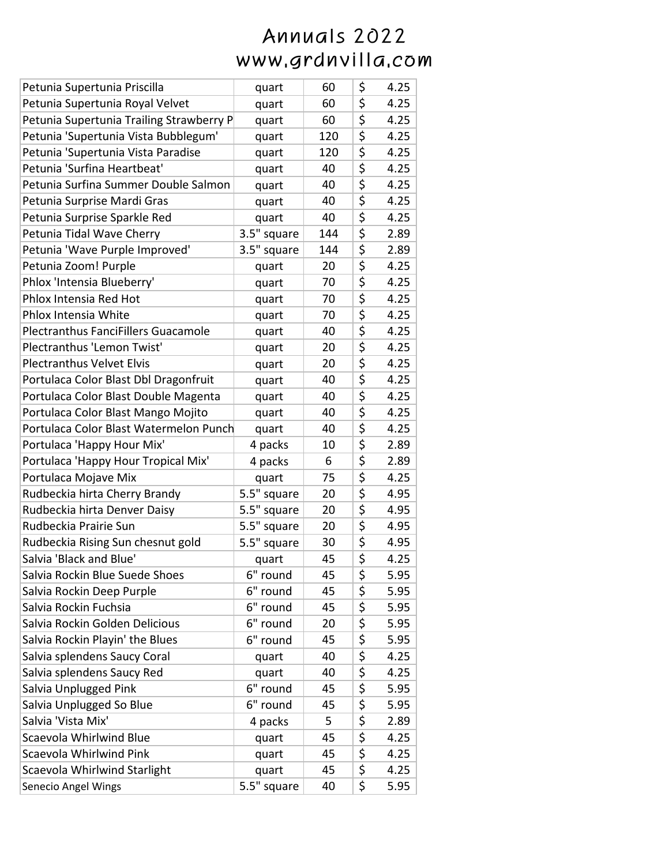| quart                                           | 60  | \$<br>4.25 |
|-------------------------------------------------|-----|------------|
| quart                                           | 60  | \$<br>4.25 |
| quart                                           | 60  | \$<br>4.25 |
| quart                                           | 120 | \$<br>4.25 |
| quart                                           | 120 | \$<br>4.25 |
| quart                                           | 40  | \$<br>4.25 |
| quart                                           | 40  | \$<br>4.25 |
| quart                                           | 40  | \$<br>4.25 |
| quart                                           | 40  | \$<br>4.25 |
| 3.5" square                                     | 144 | \$<br>2.89 |
| 3.5" square                                     | 144 | \$<br>2.89 |
| quart                                           | 20  | \$<br>4.25 |
| quart                                           | 70  | \$<br>4.25 |
| quart                                           | 70  | \$<br>4.25 |
| quart                                           | 70  | \$<br>4.25 |
| quart                                           | 40  | \$<br>4.25 |
| quart                                           | 20  | \$<br>4.25 |
| quart                                           | 20  | \$<br>4.25 |
| quart                                           | 40  | \$<br>4.25 |
| quart                                           | 40  | \$<br>4.25 |
| quart                                           | 40  | \$<br>4.25 |
| Portulaca Color Blast Watermelon Punch<br>quart | 40  | \$<br>4.25 |
| 4 packs                                         | 10  | \$<br>2.89 |
| 4 packs                                         | 6   | \$<br>2.89 |
| quart                                           | 75  | \$<br>4.25 |
| 5.5" square                                     | 20  | \$<br>4.95 |
| 5.5" square                                     | 20  | \$<br>4.95 |
| 5.5" square                                     | 20  | \$<br>4.95 |
| 5.5" square                                     | 30  | \$<br>4.95 |
| quart                                           | 45  | \$<br>4.25 |
| 6" round                                        | 45  | \$<br>5.95 |
| 6" round                                        | 45  | \$<br>5.95 |
| 6" round                                        | 45  | \$<br>5.95 |
| 6" round                                        | 20  | \$<br>5.95 |
| 6" round                                        | 45  | \$<br>5.95 |
| quart                                           | 40  | \$<br>4.25 |
| quart                                           | 40  | \$<br>4.25 |
| 6" round                                        | 45  | \$<br>5.95 |
| 6" round                                        | 45  | \$<br>5.95 |
| 4 packs                                         | 5   | \$<br>2.89 |
| quart                                           | 45  | \$<br>4.25 |
| quart                                           | 45  | \$<br>4.25 |
| quart                                           | 45  | \$<br>4.25 |
| 5.5" square                                     | 40  | \$<br>5.95 |
|                                                 |     |            |